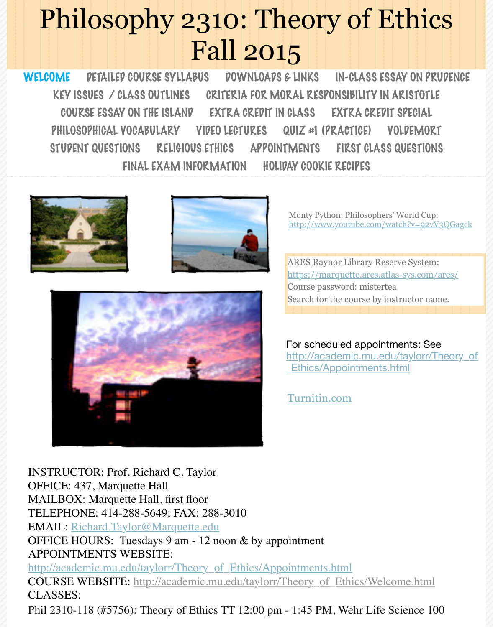KEY ISSUES / CLASS OUTLINES CRITERIA FOR MORAL RESPONSIBILITY IN ARIST COURSE ESSAY ON THE ISLAND EXTRA CREDIT IN CLASS EXTRA CREDIT SPEC PHILOSOPHICAL VOCABULARY VIDEO LECTURES QUIZ #1 (PRACTICE) VOLDEN STUDENT QUESTIONS RELIGIOUS ETHICS APPOINTMENTS FIRST CLASS QUESTIONS [FINAL EXAM INFORM](http://academic.mu.edu/taylorr/Theory_of_Ethics/Detailed_course_syllabus.html)[ATION HOLIDAY COOK](http://academic.mu.edu/taylorr/Theory_of_Ethics/Downloads_%26_Links.html)IE [RECIPES](http://academic.mu.edu/taylorr/Theory_of_Ethics/In-class_essay_on_prudence.html)





[Monty Python: Philosop](http://academic.mu.edu/taylorr/Theory_of_Ethics/Quiz_1_%28Practice%29.html)hers' World [http://ww](http://academic.mu.edu/taylorr/Theory_of_Ethics/Appointments.html)w.youtube.com/watch?v=

**ARES Raynor Library Reserve System:** https://marquette.ares.atlas-sys.com Course password: mistertea Search for the course by instructor

For scheduled appointments http://academic.mu.edu/taylo \_Ethics/Appointments.html

Turnitin.com

INSTRUCTOR: Prof. Richard C. Taylor OFFICE: 437, Marquette Hall MAILBOX: Marquette Hall, first floor TELEPHONE: 414-288-5649; FAX: 288-3010 EMAIL: Richard.Taylor@Marquette.edu OFFICE HOURS: Tuesdays 9 am - 12 noon & by appointment APPOINTMENTS WEBSITE: http://academic.mu.edu/taylorr/Theory\_of\_Ethics/Appointments.html

COURSE WEBSITE: http://academic.mu.edu/taylorr/Theory\_of\_Ethics/Welcome.html CLASSES:

Phil 231[0-118 \(#5756\): Theory of Ethics](mailto:Richard.Taylor@Marquette.edu) TT 12:00 pm - 1:45 PM, Wehr Life Scienc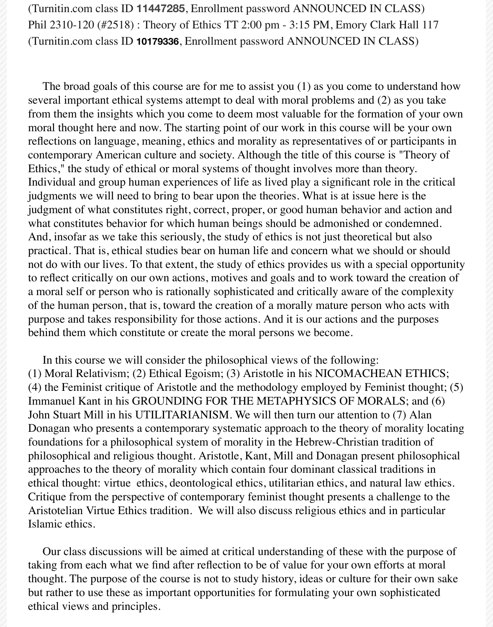(Turnitin.com class ID **11447285**, Enrollment password ANNOUNCED IN CLASS) Phil 2310-120 (#2518) : Theory of Ethics TT 2:00 pm - 3:15 PM, Emory Clark Hall 117 (Turnitin.com class ID **10179336**, Enrollment password ANNOUNCED IN CLASS)

 The broad goals of this course are for me to assist you (1) as you come to understand how several important ethical systems attempt to deal with moral problems and (2) as you take from them the insights which you come to deem most valuable for the formation of your own moral thought here and now. The starting point of our work in this course will be your own reflections on language, meaning, ethics and morality as representatives of or participants in contemporary American culture and society. Although the title of this course is "Theory of Ethics," the study of ethical or moral systems of thought involves more than theory. Individual and group human experiences of life as lived play a significant role in the critical judgments we will need to bring to bear upon the theories. What is at issue here is the judgment of what constitutes right, correct, proper, or good human behavior and action and what constitutes behavior for which human beings should be admonished or condemned. And, insofar as we take this seriously, the study of ethics is not just theoretical but also practical. That is, ethical studies bear on human life and concern what we should or should not do with our lives. To that extent, the study of ethics provides us with a special opportunity to reflect critically on our own actions, motives and goals and to work toward the creation of a moral self or person who is rationally sophisticated and critically aware of the complexity of the human person, that is, toward the creation of a morally mature person who acts with purpose and takes responsibility for those actions. And it is our actions and the purposes behind them which constitute or create the moral persons we become.

 In this course we will consider the philosophical views of the following: (1) Moral Relativism; (2) Ethical Egoism; (3) Aristotle in his NICOMACHEAN ETHICS; (4) the Feminist critique of Aristotle and the methodology employed by Feminist thought; (5) Immanuel Kant in his GROUNDING FOR THE METAPHYSICS OF MORALS; and (6) John Stuart Mill in his UTILITARIANISM. We will then turn our attention to (7) Alan Donagan who presents a contemporary systematic approach to the theory of morality locating foundations for a philosophical system of morality in the Hebrew-Christian tradition of philosophical and religious thought. Aristotle, Kant, Mill and Donagan present philosophical approaches to the theory of morality which contain four dominant classical traditions in ethical thought: virtue ethics, deontological ethics, utilitarian ethics, and natural law ethics. Critique from the perspective of contemporary feminist thought presents a challenge to the Aristotelian Virtue Ethics tradition. We will also discuss religious ethics and in particular Islamic ethics.

 Our class discussions will be aimed at critical understanding of these with the purpose of taking from each what we find after reflection to be of value for your own efforts at moral thought. The purpose of the course is not to study history, ideas or culture for their own sake but rather to use these as important opportunities for formulating your own sophisticated ethical views and principles.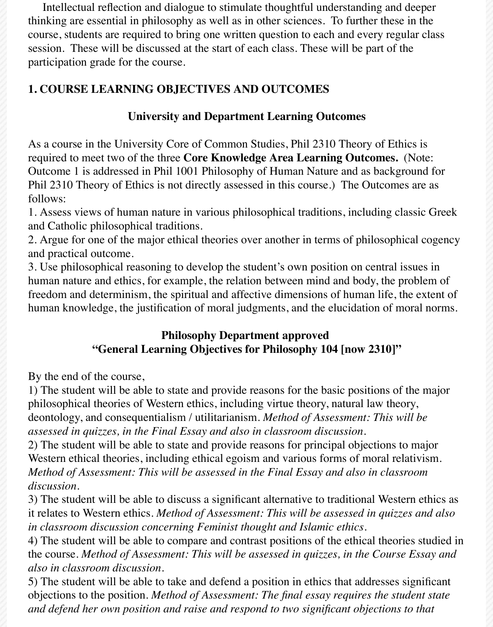Intellectual reflection and dialogue to stimulate thoughtful understanding and deeper thinking are essential in philosophy as well as in other sciences. To further these in the course, students are required to bring one written question to each and every regular class session. These will be discussed at the start of each class. These will be part of the participation grade for the course.

# **1. COURSE LEARNING OBJECTIVES AND OUTCOMES**

# **University and Department Learning Outcomes**

As a course in the University Core of Common Studies, Phil 2310 Theory of Ethics is required to meet two of the three **Core Knowledge Area Learning Outcomes.** (Note: Outcome 1 is addressed in Phil 1001 Philosophy of Human Nature and as background for Phil 2310 Theory of Ethics is not directly assessed in this course.) The Outcomes are as follows:

1. Assess views of human nature in various philosophical traditions, including classic Greek and Catholic philosophical traditions.

2. Argue for one of the major ethical theories over another in terms of philosophical cogency and practical outcome.

3. Use philosophical reasoning to develop the student's own position on central issues in human nature and ethics, for example, the relation between mind and body, the problem of freedom and determinism, the spiritual and affective dimensions of human life, the extent of human knowledge, the justification of moral judgments, and the elucidation of moral norms.

### **Philosophy Department approved "General Learning Objectives for Philosophy 104 [now 2310]"**

By the end of the course,

1) The student will be able to state and provide reasons for the basic positions of the major philosophical theories of Western ethics, including virtue theory, natural law theory, deontology, and consequentialism / utilitarianism. *Method of Assessment: This will be assessed in quizzes, in the Final Essay and also in classroom discussion.*

2) The student will be able to state and provide reasons for principal objections to major Western ethical theories, including ethical egoism and various forms of moral relativism. *Method of Assessment: This will be assessed in the Final Essay and also in classroom discussion.*

3) The student will be able to discuss a significant alternative to traditional Western ethics as it relates to Western ethics. *Method of Assessment: This will be assessed in quizzes and also in classroom discussion concerning Feminist thought and Islamic ethics.*

4) The student will be able to compare and contrast positions of the ethical theories studied in the course. *Method of Assessment: This will be assessed in quizzes, in the Course Essay and also in classroom discussion.*

5) The student will be able to take and defend a position in ethics that addresses significant objections to the position. *Method of Assessment: The final essay requires the student state and defend her own position and raise and respond to two significant objections to that*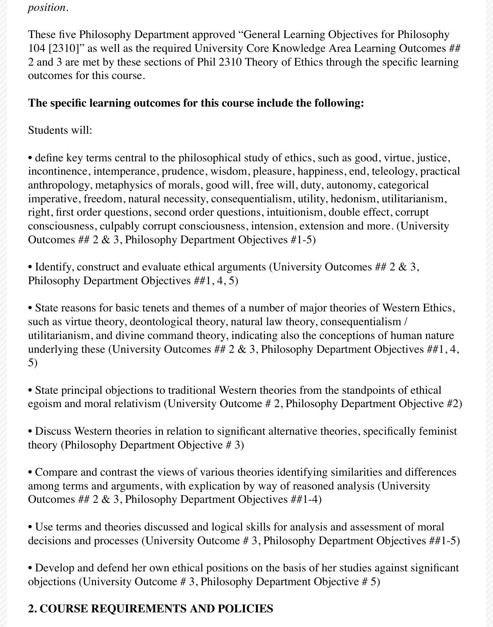*position.*

These five Philosophy Department approved "General Learning Objectives for Philosophy 104 [2310]" as well as the required University Core Knowledge Area Learning Outcomes ## 2 and 3 are met by these sections of Phil 2310 Theory of Ethics through the specific learning outcomes for this course.

#### **The specific learning outcomes for this course include the following:**

Students will:

• define key terms central to the philosophical study of ethics, such as good, virtue, justice, incontinence, intemperance, prudence, wisdom, pleasure, happiness, end, teleology, practical anthropology, metaphysics of morals, good will, free will, duty, autonomy, categorical imperative, freedom, natural necessity, consequentialism, utility, hedonism, utilitarianism, right, first order questions, second order questions, intuitionism, double effect, corrupt consciousness, culpably corrupt consciousness, intension, extension and more. (University Outcomes ## 2 & 3, Philosophy Department Objectives #1-5)

• Identify, construct and evaluate ethical arguments (University Outcomes ## 2 & 3, Philosophy Department Objectives ##1, 4, 5)

• State reasons for basic tenets and themes of a number of major theories of Western Ethics, such as virtue theory, deontological theory, natural law theory, consequentialism / utilitarianism, and divine command theory, indicating also the conceptions of human nature underlying these (University Outcomes  $# 2 \& 3$ , Philosophy Department Objectives  $# 1, 4$ , 5)

• State principal objections to traditional Western theories from the standpoints of ethical egoism and moral relativism (University Outcome # 2, Philosophy Department Objective #2)

• Discuss Western theories in relation to significant alternative theories, specifically feminist theory (Philosophy Department Objective # 3)

• Compare and contrast the views of various theories identifying similarities and differences among terms and arguments, with explication by way of reasoned analysis (University Outcomes ## 2 & 3, Philosophy Department Objectives ##1-4)

• Use terms and theories discussed and logical skills for analysis and assessment of moral decisions and processes (University Outcome # 3, Philosophy Department Objectives ##1-5)

• Develop and defend her own ethical positions on the basis of her studies against significant objections (University Outcome # 3, Philosophy Department Objective # 5)

# **2. COURSE REQUIREMENTS AND POLICIES**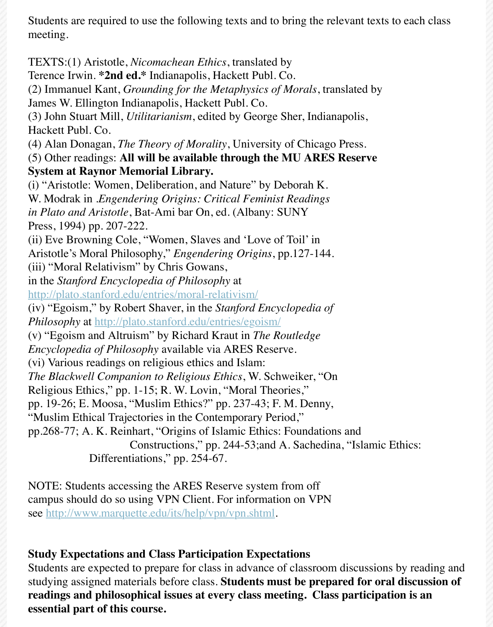(2) Immanuel Kant, *Grounding for the Metaphysics of Morals*, translated by James W. Ellington Indianapolis, Hackett Publ. Co.

(3) John Stuart Mill, *Utilitarianism*, edited by George Sher, Indianapolis, Hackett Publ. Co.

(4) Alan Donagan, *The Theory of Morality*, University of Chicago Press.

(5) Other readings: **All will be available through the MU ARES Reserve System at Raynor Memorial Library.**

(i) "Aristotle: Women, Deliberation, and Nature" by Deborah K. W. Modrak in .*Engendering Origins: Critical Feminist Readings in Plato and Aristotle*, Bat-Ami bar On, ed. (Albany: SUNY Press, 1994) pp. 207-222.

(ii) Eve Browning Cole, "Women, Slaves and 'Love of Toil' in Aristotle's Moral Philosophy," *Engendering Origins*, pp.127-144.

(iii) "Moral Relativism" by Chris Gowans,

in the *Stanford Encyclopedia of Philosophy* at

http://plato.stanford.edu/entries/moral-relativism/

(iv) "Egoism," by Robert Shaver, in the *Stanford Encyclopedia of Philosophy* at http://plato.stanford.edu/entries/egoism/

(v) "Egoism and Altruism" by Richard Kraut in *The Routledge Encyclopedia of Philosophy* available via ARES Reserve.

(vi) Various readings on religious ethics and Islam:

*[The Blackwell Companion to Religious](http://plato.stanford.edu/entries/moral-relativism/) Ethics*, W. Schweiker, "On

Religious Ethics," pp. 1-15; R. W. Lovin, "Moral Theories,"

pp. 19-26; E. [Moosa, "Muslim Ethics?" pp. 237-43; F.](http://plato.stanford.edu/entries/egoism/) M. Denny,

"Muslim Ethical Trajectories in the Contemporary Period,"

pp.268-77; A. K. Reinhart, "Origins of Islamic Ethics: Foundations and

 Constructions," pp. 244-53;and A. Sachedina, "Islamic Ethics: Differentiations," pp. 254-67.

NOTE: Students accessing the ARES Reserve system from off campus should do so using VPN Client. For information on VPN see http://www.marquette.edu/its/help/vpn/vpn.shtml.

# **Study Expectations and Class Participation Expectations**

Students are expected to prepare for class in advance of classroom discussions by re studying assigned materials before class. **Students must be prepared for oral disc**u **rea[dings and philosophical issues at every class me](http://www.marquette.edu/its/help/vpn/vpn.shtml)eting. Class participation is an essential part of this course.**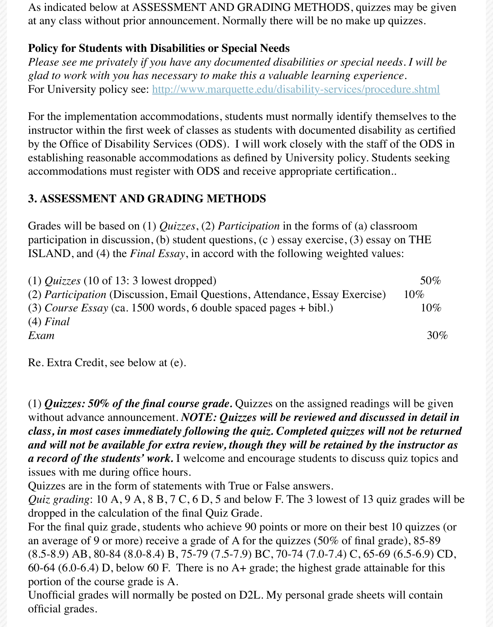For University policy see: http://www.marquette.edu/disability-services/procedure.shtml

For the implementation accommodations, students must normally identify themselves instructor within the first week of classes as students with documented disability as by the Office of Disability Services (ODS). I will work closely with the staff of the establishing reasonable accommodations as defined by University policy. Students s accommodations must reg[ister with ODS and receive appropriate certification..](http://www.marquette.edu/disability-services/docguidelines.shtml)

# **3. ASSESSMENT AND GRADING METHODS**

Grades will be based on (1) *Quizzes*, (2) *Participation* in the forms of (a) classroom participation in discussion, (b) student questions, (c) essay exercise,  $(3)$  essay on TI ISLAND, and (4) the *Final Essay*, in accord with the following weighted values:

(1)  $Quizes (10 of 13: 3 lowest dropped)$ 

(2) *Participation* (Discussion, Email Questions, Attendance, Essay Exercise) 10%

(3) *Course Essay* (ca. 1500 words, 6 double spaced pages + bibl.)10%

(4) *Final*

*Exam* 2008 *CONSTRUCTURE 2009* 

Re. Extra Credit, see below at (e).

(1) *Quizzes:* 50% of the final course grade. Quizzes on the assigned readings will b without advance announcement. *NOTE: Quizzes will be reviewed and discussed in class, in most cases immediately following the quiz. Completed quizzes will not be* and will not be available for extra review, though they will be retained by the instr *a record of the students' work.* I welcome and encourage students to discuss quiz to issues with me during office hours.

Quizzes are in the form of statements with True or False answers.

*Quiz grading*: 10 A, 9 A, 8 B, 7 C, 6 D, 5 and below F. The 3 lowest of 13 quiz grad dropped in the calculation of the final Quiz Grade.

For the final quiz grade, students who achieve 90 points or more on their best 10 qui an average of 9 or more) receive a grade of A for the quizzes (50% of final grade), 8 (8.5-8.9) AB, 80-84 (8.0-8.4) B, 75-79 (7.5-7.9) BC, 70-74 (7.0-7.4) C, 65-69 (6.5-6 60-64 (6.0-6.4) D, below 60 F. There is no  $A+$  grade; the highest grade attainable for portion of the course grade is A.

Unofficial grades will normally be posted on D2L. My personal grade sheets will co official grades.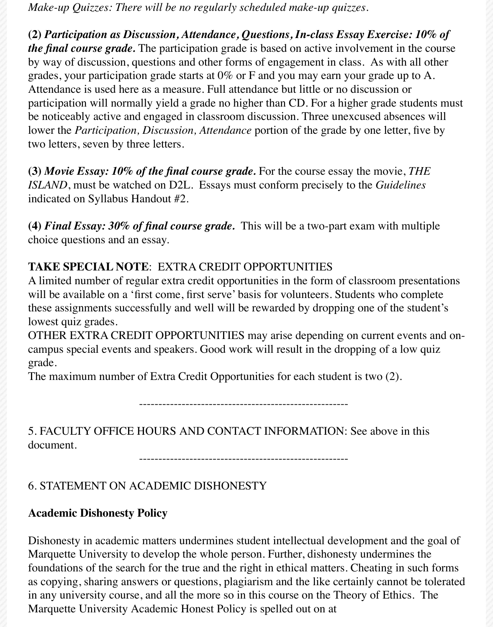*Make-up Quizzes: There will be no regularly scheduled make-up quizzes.* 

**(2)** *Participation as Discussion, Attendance, Questions, In-class Essay Exercise: 10% of the final course grade.* The participation grade is based on active involvement in the course by way of discussion, questions and other forms of engagement in class. As with all other grades, your participation grade starts at 0% or F and you may earn your grade up to A. Attendance is used here as a measure. Full attendance but little or no discussion or participation will normally yield a grade no higher than CD. For a higher grade students must be noticeably active and engaged in classroom discussion. Three unexcused absences will lower the *Participation, Discussion, Attendance* portion of the grade by one letter, five by two letters, seven by three letters.

**(3)** *Movie Essay: 10% of the final course grade.* For the course essay the movie, *THE ISLAND*, must be watched on D2L. Essays must conform precisely to the *Guidelines* indicated on Syllabus Handout #2.

**(4)** *Final Essay: 30% of final course grade.* This will be a two-part exam with multiple choice questions and an essay.

#### **TAKE SPECIAL NOTE**: EXTRA CREDIT OPPORTUNITIES

A limited number of regular extra credit opportunities in the form of classroom presentations will be available on a 'first come, first serve' basis for volunteers. Students who complete these assignments successfully and well will be rewarded by dropping one of the student's lowest quiz grades.

OTHER EXTRA CREDIT OPPORTUNITIES may arise depending on current events and oncampus special events and speakers. Good work will result in the dropping of a low quiz grade.

The maximum number of Extra Credit Opportunities for each student is two (2).

------------------------------------------------------

5. FACULTY OFFICE HOURS AND CONTACT INFORMATION: See above in this document.

------------------------------------------------------

### 6. STATEMENT ON ACADEMIC DISHONESTY

#### **Academic Dishonesty Policy**

Dishonesty in academic matters undermines student intellectual development and the goal of Marquette University to develop the whole person. Further, dishonesty undermines the foundations of the search for the true and the right in ethical matters. Cheating in such forms as copying, sharing answers or questions, plagiarism and the like certainly cannot be tolerated in any university course, and all the more so in this course on the Theory of Ethics. The Marquette University Academic Honest Policy is spelled out on at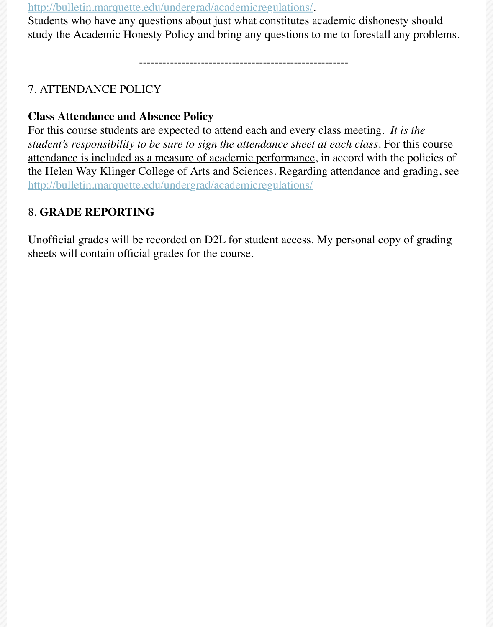#### [7. ATTENDANCE POLICY](http://bulletin.marquette.edu/undergrad/academicregulations/)

#### **Class Attendance and Absence Policy**

For this course students are expected to attend each and every class meeting. *It is the student's responsibility to be sure to sign the attendance sheet at each class.* For this attendance is included as a measure of academic performance, in accord with the po the Helen Way Klinger College of Arts and Sciences. Regarding attendance and grading http://bulletin.marquette.edu/undergrad/academicregulations/

# 8. **GRADE REPORTING**

Unofficial grades will be recorded on D2L for student access. My personal copy of g sheets will contain official grades for the course.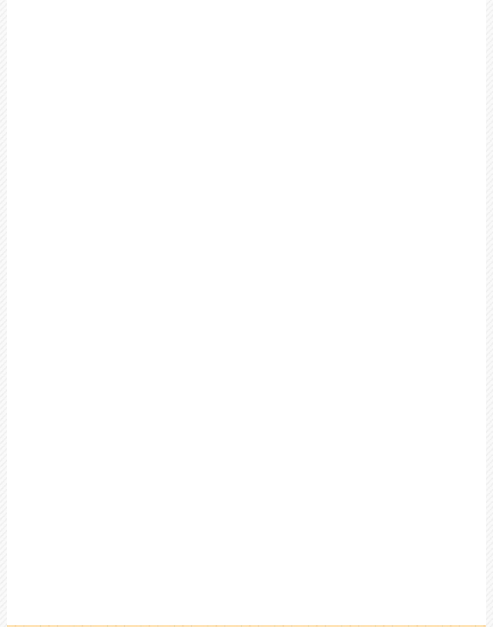